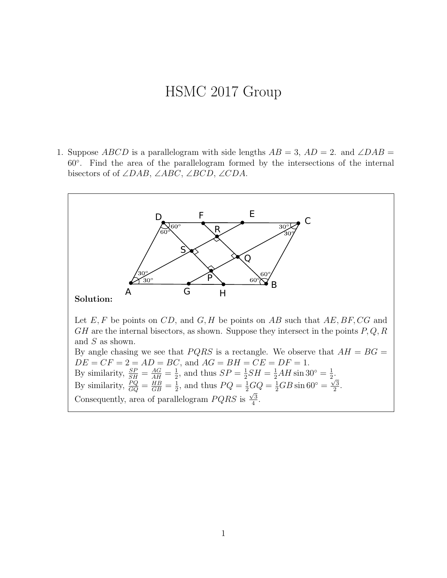## HSMC 2017 Group

1. Suppose ABCD is a parallelogram with side lengths  $AB = 3$ ,  $AD = 2$ . and  $\angle DAB =$ 60◦ . Find the area of the parallelogram formed by the intersections of the internal bisectors of of ∠DAB, ∠ABC, ∠BCD, ∠CDA.

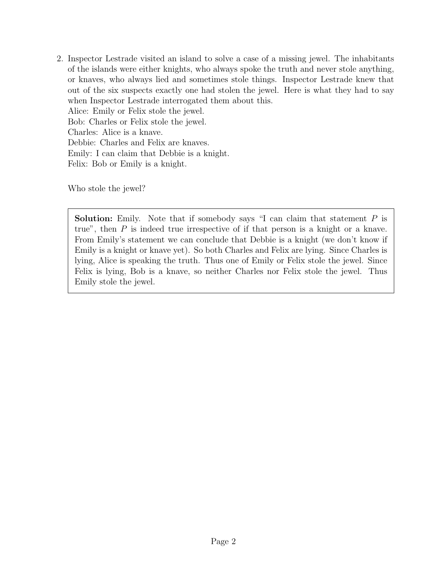2. Inspector Lestrade visited an island to solve a case of a missing jewel. The inhabitants of the islands were either knights, who always spoke the truth and never stole anything, or knaves, who always lied and sometimes stole things. Inspector Lestrade knew that out of the six suspects exactly one had stolen the jewel. Here is what they had to say when Inspector Lestrade interrogated them about this. Alice: Emily or Felix stole the jewel. Bob: Charles or Felix stole the jewel. Charles: Alice is a knave. Debbie: Charles and Felix are knaves. Emily: I can claim that Debbie is a knight. Felix: Bob or Emily is a knight.

Who stole the jewel?

**Solution:** Emily. Note that if somebody says "I can claim that statement  $P$  is true", then  $P$  is indeed true irrespective of if that person is a knight or a knave. From Emily's statement we can conclude that Debbie is a knight (we don't know if Emily is a knight or knave yet). So both Charles and Felix are lying. Since Charles is lying, Alice is speaking the truth. Thus one of Emily or Felix stole the jewel. Since Felix is lying, Bob is a knave, so neither Charles nor Felix stole the jewel. Thus Emily stole the jewel.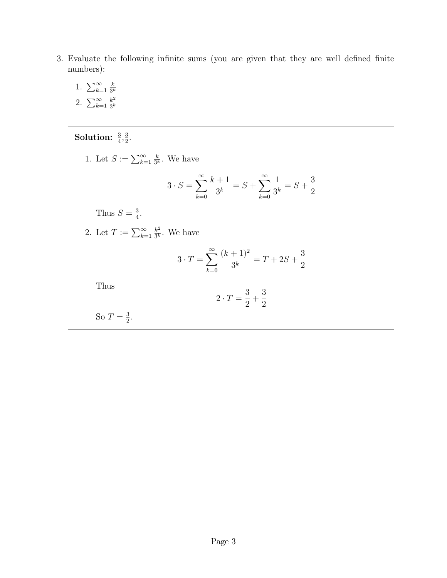- 3. Evaluate the following infinite sums (you are given that they are well defined finite numbers):
	- 1.  $\sum_{k=1}^{\infty}$ k  $3^k$ 2.  $\sum_{k=1}^{\infty}$  $k<sup>2</sup>$  $\overline{3^k}$

Solution:  $\frac{3}{4}, \frac{3}{2}$  $\frac{3}{2}$ . 1. Let  $S := \sum_{k=1}^{\infty}$ k  $\frac{k}{3^k}$ . We have  $3 \cdot S = \sum_{i=1}^{\infty}$  $k=0$  $k+1$  $\frac{+1}{3^k} = S + \sum_{k=0}^{\infty}$  $_{k=0}$ 1  $\frac{1}{3^k} = S +$ 3 2 Thus  $S=\frac{3}{4}$  $\frac{3}{4}$ . 2. Let  $T := \sum_{k=1}^{\infty}$  $k^2$  $\frac{k^2}{3^k}$ . We have  $3 \cdot T = \sum_{n=1}^{\infty}$  $k=0$  $(k+1)^2$  $\frac{1}{3^k}$  = T + 2S + 3 2 Thus  $2 \cdot T = \frac{3}{2}$ 2  $+$ 3 2 So  $T=\frac{3}{2}$  $\frac{3}{2}$ .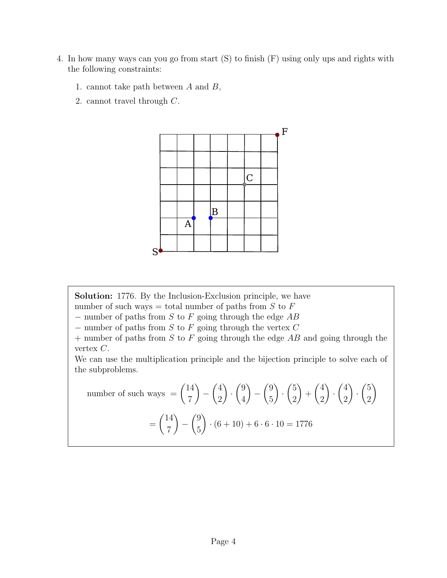- 4. In how many ways can you go from start (S) to finish (F) using only ups and rights with the following constraints:
	- 1. cannot take path between  $A$  and  $B$ ,
	- 2. cannot travel through C.



Solution: 1776. By the Inclusion-Exclusion principle, we have

number of such ways = total number of paths from  $S$  to  $F$ 

 $-$  number of paths from S to F going through the edge AB

 $-$  number of paths from  $S$  to  $F$  going through the vertex  $C$ 

 $+$  number of paths from S to F going through the edge AB and going through the vertex  $C$ .

We can use the multiplication principle and the bijection principle to solve each of the subproblems.

number of such ways 
$$
= {14 \choose 7} - {4 \choose 2} \cdot {9 \choose 4} - {9 \choose 5} \cdot {5 \choose 2} + {4 \choose 2} \cdot {4 \choose 2} \cdot {5 \choose 2}
$$

$$
= {14 \choose 7} - {9 \choose 5} \cdot (6+10) + 6 \cdot 6 \cdot 10 = 1776
$$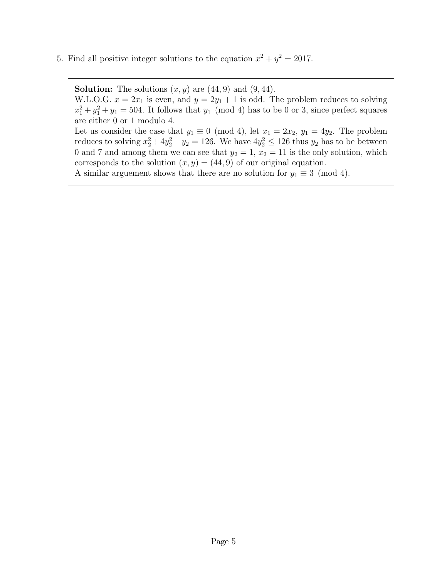5. Find all positive integer solutions to the equation  $x^2 + y^2 = 2017$ .

**Solution:** The solutions  $(x, y)$  are  $(44, 9)$  and  $(9, 44)$ .

W.L.O.G.  $x = 2x_1$  is even, and  $y = 2y_1 + 1$  is odd. The problem reduces to solving  $x_1^2 + y_1^2 + y_1 = 504$ . It follows that  $y_1 \pmod{4}$  has to be 0 or 3, since perfect squares are either 0 or 1 modulo 4.

Let us consider the case that  $y_1 \equiv 0 \pmod{4}$ , let  $x_1 = 2x_2$ ,  $y_1 = 4y_2$ . The problem reduces to solving  $x_2^2 + 4y_2^2 + y_2 = 126$ . We have  $4y_2^2 \le 126$  thus  $y_2$  has to be between 0 and 7 and among them we can see that  $y_2 = 1$ ,  $x_2 = 11$  is the only solution, which corresponds to the solution  $(x, y) = (44, 9)$  of our original equation.

A similar arguement shows that there are no solution for  $y_1 \equiv 3 \pmod{4}$ .